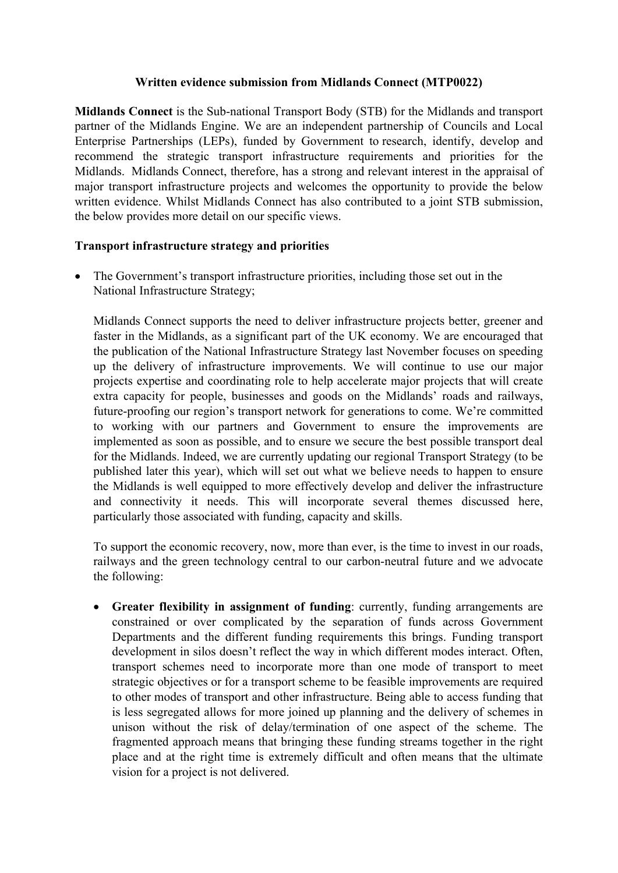## **Written evidence submission from Midlands Connect (MTP0022)**

**Midlands Connect** is the Sub-national Transport Body (STB) for the Midlands and transport partner of the Midlands Engine. We are an independent partnership of Councils and Local Enterprise Partnerships (LEPs), funded by Government to research, identify, develop and recommend the strategic transport infrastructure requirements and priorities for the Midlands. Midlands Connect, therefore, has a strong and relevant interest in the appraisal of major transport infrastructure projects and welcomes the opportunity to provide the below written evidence. Whilst Midlands Connect has also contributed to a joint STB submission, the below provides more detail on our specific views.

## **Transport infrastructure strategy and priorities**

 The Government's transport infrastructure priorities, including those set out in the National Infrastructure Strategy;

Midlands Connect supports the need to deliver infrastructure projects better, greener and faster in the Midlands, as a significant part of the UK economy. We are encouraged that the publication of the National Infrastructure Strategy last November focuses on speeding up the delivery of infrastructure improvements. We will continue to use our major projects expertise and coordinating role to help accelerate major projects that will create extra capacity for people, businesses and goods on the Midlands' roads and railways, future-proofing our region's transport network for generations to come. We're committed to working with our partners and Government to ensure the improvements are implemented as soon as possible, and to ensure we secure the best possible transport deal for the Midlands. Indeed, we are currently updating our regional Transport Strategy (to be published later this year), which will set out what we believe needs to happen to ensure the Midlands is well equipped to more effectively develop and deliver the infrastructure and connectivity it needs. This will incorporate several themes discussed here, particularly those associated with funding, capacity and skills.

To support the economic recovery, now, more than ever, is the time to invest in our roads, railways and the green technology central to our carbon-neutral future and we advocate the following:

 **Greater flexibility in assignment of funding**: currently, funding arrangements are constrained or over complicated by the separation of funds across Government Departments and the different funding requirements this brings. Funding transport development in silos doesn't reflect the way in which different modes interact. Often, transport schemes need to incorporate more than one mode of transport to meet strategic objectives or for a transport scheme to be feasible improvements are required to other modes of transport and other infrastructure. Being able to access funding that is less segregated allows for more joined up planning and the delivery of schemes in unison without the risk of delay/termination of one aspect of the scheme. The fragmented approach means that bringing these funding streams together in the right place and at the right time is extremely difficult and often means that the ultimate vision for a project is not delivered.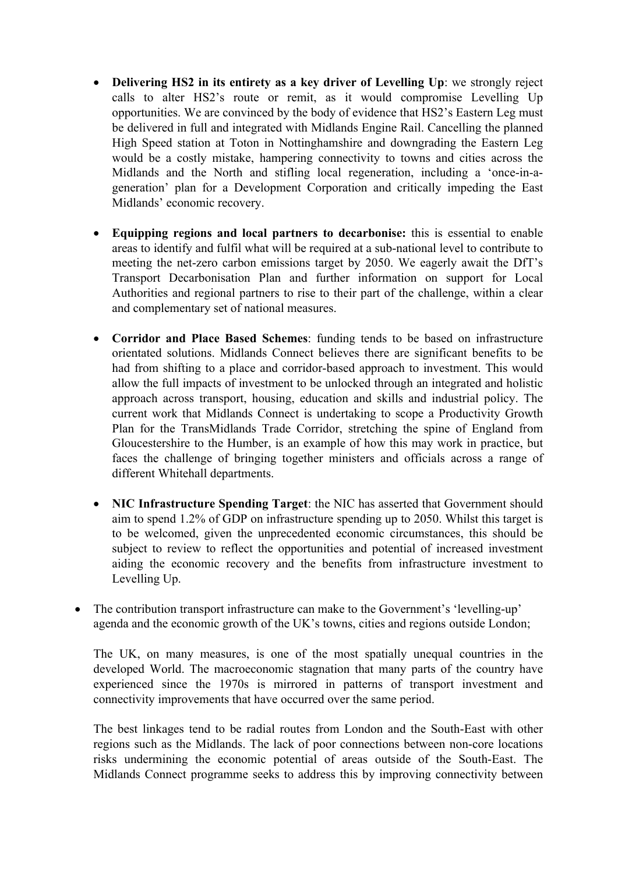- **Delivering HS2 in its entirety as a key driver of Levelling Up**: we strongly reject calls to alter HS2's route or remit, as it would compromise Levelling Up opportunities. We are convinced by the body of evidence that HS2's Eastern Leg must be delivered in full and integrated with Midlands Engine Rail. Cancelling the planned High Speed station at Toton in Nottinghamshire and downgrading the Eastern Leg would be a costly mistake, hampering connectivity to towns and cities across the Midlands and the North and stifling local regeneration, including a 'once-in-ageneration' plan for a Development Corporation and critically impeding the East Midlands' economic recovery.
- **Equipping regions and local partners to decarbonise:** this is essential to enable areas to identify and fulfil what will be required at a sub-national level to contribute to meeting the net-zero carbon emissions target by 2050. We eagerly await the DfT's Transport Decarbonisation Plan and further information on support for Local Authorities and regional partners to rise to their part of the challenge, within a clear and complementary set of national measures.
- **Corridor and Place Based Schemes**: funding tends to be based on infrastructure orientated solutions. Midlands Connect believes there are significant benefits to be had from shifting to a place and corridor-based approach to investment. This would allow the full impacts of investment to be unlocked through an integrated and holistic approach across transport, housing, education and skills and industrial policy. The current work that Midlands Connect is undertaking to scope a Productivity Growth Plan for the TransMidlands Trade Corridor, stretching the spine of England from Gloucestershire to the Humber, is an example of how this may work in practice, but faces the challenge of bringing together ministers and officials across a range of different Whitehall departments.
- **NIC Infrastructure Spending Target**: the NIC has asserted that Government should aim to spend 1.2% of GDP on infrastructure spending up to 2050. Whilst this target is to be welcomed, given the unprecedented economic circumstances, this should be subject to review to reflect the opportunities and potential of increased investment aiding the economic recovery and the benefits from infrastructure investment to Levelling Up.
- The contribution transport infrastructure can make to the Government's 'levelling-up' agenda and the economic growth of the UK's towns, cities and regions outside London;

The UK, on many measures, is one of the most spatially unequal countries in the developed World. The macroeconomic stagnation that many parts of the country have experienced since the 1970s is mirrored in patterns of transport investment and connectivity improvements that have occurred over the same period.

The best linkages tend to be radial routes from London and the South-East with other regions such as the Midlands. The lack of poor connections between non-core locations risks undermining the economic potential of areas outside of the South-East. The Midlands Connect programme seeks to address this by improving connectivity between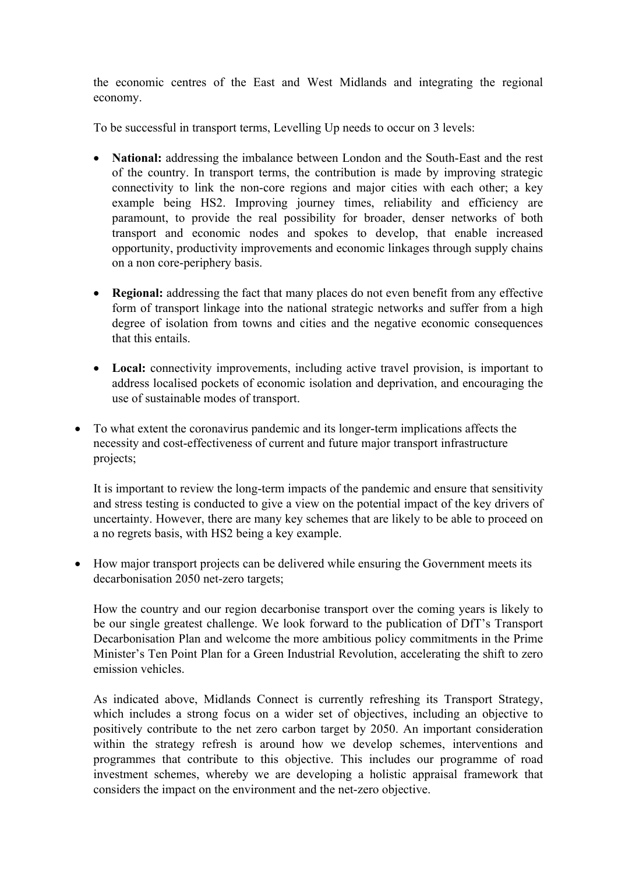the economic centres of the East and West Midlands and integrating the regional economy.

To be successful in transport terms, Levelling Up needs to occur on 3 levels:

- **National:** addressing the imbalance between London and the South-East and the rest of the country. In transport terms, the contribution is made by improving strategic connectivity to link the non-core regions and major cities with each other; a key example being HS2. Improving journey times, reliability and efficiency are paramount, to provide the real possibility for broader, denser networks of both transport and economic nodes and spokes to develop, that enable increased opportunity, productivity improvements and economic linkages through supply chains on a non core-periphery basis.
- **Regional:** addressing the fact that many places do not even benefit from any effective form of transport linkage into the national strategic networks and suffer from a high degree of isolation from towns and cities and the negative economic consequences that this entails.
- Local: connectivity improvements, including active travel provision, is important to address localised pockets of economic isolation and deprivation, and encouraging the use of sustainable modes of transport.
- To what extent the coronavirus pandemic and its longer-term implications affects the necessity and cost-effectiveness of current and future major transport infrastructure projects;

It is important to review the long-term impacts of the pandemic and ensure that sensitivity and stress testing is conducted to give a view on the potential impact of the key drivers of uncertainty. However, there are many key schemes that are likely to be able to proceed on a no regrets basis, with HS2 being a key example.

• How major transport projects can be delivered while ensuring the Government meets its decarbonisation 2050 net-zero targets;

How the country and our region decarbonise transport over the coming years is likely to be our single greatest challenge. We look forward to the publication of DfT's Transport Decarbonisation Plan and welcome the more ambitious policy commitments in the Prime Minister's Ten Point Plan for a Green Industrial Revolution, accelerating the shift to zero emission vehicles.

As indicated above, Midlands Connect is currently refreshing its Transport Strategy, which includes a strong focus on a wider set of objectives, including an objective to positively contribute to the net zero carbon target by 2050. An important consideration within the strategy refresh is around how we develop schemes, interventions and programmes that contribute to this objective. This includes our programme of road investment schemes, whereby we are developing a holistic appraisal framework that considers the impact on the environment and the net-zero objective.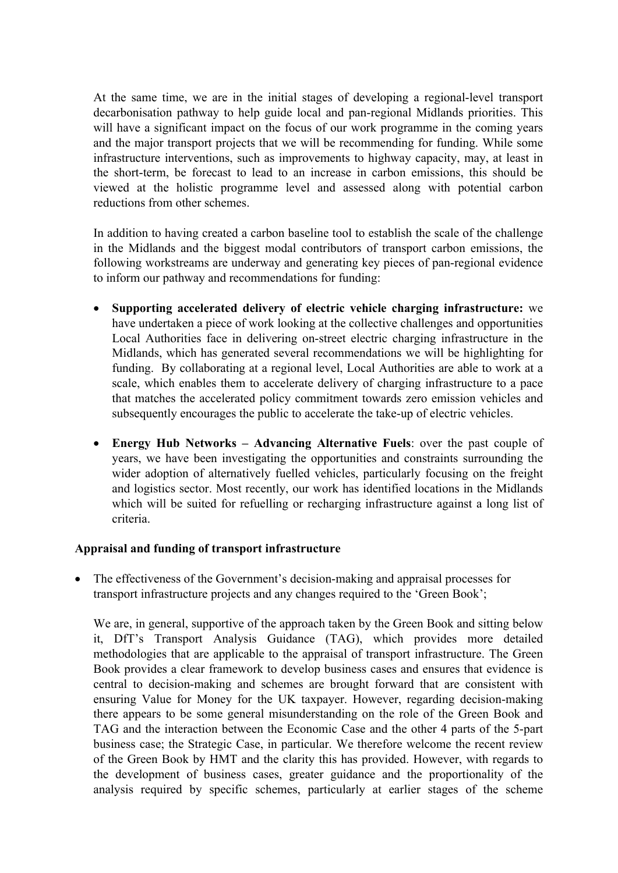At the same time, we are in the initial stages of developing a regional-level transport decarbonisation pathway to help guide local and pan-regional Midlands priorities. This will have a significant impact on the focus of our work programme in the coming years and the major transport projects that we will be recommending for funding. While some infrastructure interventions, such as improvements to highway capacity, may, at least in the short-term, be forecast to lead to an increase in carbon emissions, this should be viewed at the holistic programme level and assessed along with potential carbon reductions from other schemes.

In addition to having created a carbon baseline tool to establish the scale of the challenge in the Midlands and the biggest modal contributors of transport carbon emissions, the following workstreams are underway and generating key pieces of pan-regional evidence to inform our pathway and recommendations for funding:

- **Supporting accelerated delivery of electric vehicle charging infrastructure:** we have undertaken a piece of work looking at the collective challenges and opportunities Local Authorities face in delivering on-street electric charging infrastructure in the Midlands, which has generated several recommendations we will be highlighting for funding. By collaborating at a regional level, Local Authorities are able to work at a scale, which enables them to accelerate delivery of charging infrastructure to a pace that matches the accelerated policy commitment towards zero emission vehicles and subsequently encourages the public to accelerate the take-up of electric vehicles.
- **Energy Hub Networks – Advancing Alternative Fuels**: over the past couple of years, we have been investigating the opportunities and constraints surrounding the wider adoption of alternatively fuelled vehicles, particularly focusing on the freight and logistics sector. Most recently, our work has identified locations in the Midlands which will be suited for refuelling or recharging infrastructure against a long list of criteria.

#### **Appraisal and funding of transport infrastructure**

 The effectiveness of the Government's decision-making and appraisal processes for transport infrastructure projects and any changes required to the 'Green Book';

We are, in general, supportive of the approach taken by the Green Book and sitting below it, DfT's Transport Analysis Guidance (TAG), which provides more detailed methodologies that are applicable to the appraisal of transport infrastructure. The Green Book provides a clear framework to develop business cases and ensures that evidence is central to decision-making and schemes are brought forward that are consistent with ensuring Value for Money for the UK taxpayer. However, regarding decision-making there appears to be some general misunderstanding on the role of the Green Book and TAG and the interaction between the Economic Case and the other 4 parts of the 5-part business case; the Strategic Case, in particular. We therefore welcome the recent review of the Green Book by HMT and the clarity this has provided. However, with regards to the development of business cases, greater guidance and the proportionality of the analysis required by specific schemes, particularly at earlier stages of the scheme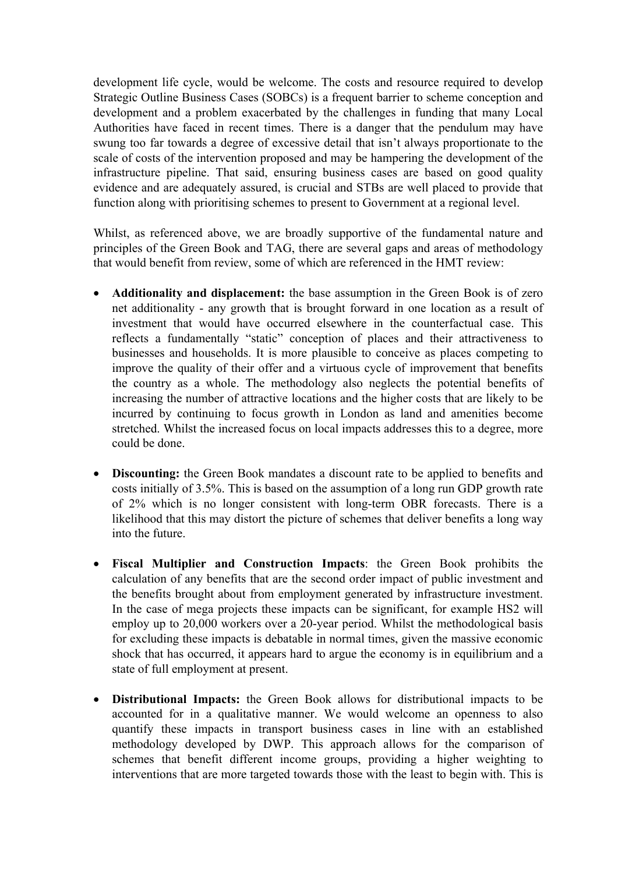development life cycle, would be welcome. The costs and resource required to develop Strategic Outline Business Cases (SOBCs) is a frequent barrier to scheme conception and development and a problem exacerbated by the challenges in funding that many Local Authorities have faced in recent times. There is a danger that the pendulum may have swung too far towards a degree of excessive detail that isn't always proportionate to the scale of costs of the intervention proposed and may be hampering the development of the infrastructure pipeline. That said, ensuring business cases are based on good quality evidence and are adequately assured, is crucial and STBs are well placed to provide that function along with prioritising schemes to present to Government at a regional level.

Whilst, as referenced above, we are broadly supportive of the fundamental nature and principles of the Green Book and TAG, there are several gaps and areas of methodology that would benefit from review, some of which are referenced in the HMT review:

- **Additionality and displacement:** the base assumption in the Green Book is of zero net additionality - any growth that is brought forward in one location as a result of investment that would have occurred elsewhere in the counterfactual case. This reflects a fundamentally "static" conception of places and their attractiveness to businesses and households. It is more plausible to conceive as places competing to improve the quality of their offer and a virtuous cycle of improvement that benefits the country as a whole. The methodology also neglects the potential benefits of increasing the number of attractive locations and the higher costs that are likely to be incurred by continuing to focus growth in London as land and amenities become stretched. Whilst the increased focus on local impacts addresses this to a degree, more could be done.
- **Discounting:** the Green Book mandates a discount rate to be applied to benefits and costs initially of 3.5%. This is based on the assumption of a long run GDP growth rate of 2% which is no longer consistent with long-term OBR forecasts. There is a likelihood that this may distort the picture of schemes that deliver benefits a long way into the future.
- **Fiscal Multiplier and Construction Impacts**: the Green Book prohibits the calculation of any benefits that are the second order impact of public investment and the benefits brought about from employment generated by infrastructure investment. In the case of mega projects these impacts can be significant, for example HS2 will employ up to 20,000 workers over a 20-year period. Whilst the methodological basis for excluding these impacts is debatable in normal times, given the massive economic shock that has occurred, it appears hard to argue the economy is in equilibrium and a state of full employment at present.
- **Distributional Impacts:** the Green Book allows for distributional impacts to be accounted for in a qualitative manner. We would welcome an openness to also quantify these impacts in transport business cases in line with an established methodology developed by DWP. This approach allows for the comparison of schemes that benefit different income groups, providing a higher weighting to interventions that are more targeted towards those with the least to begin with. This is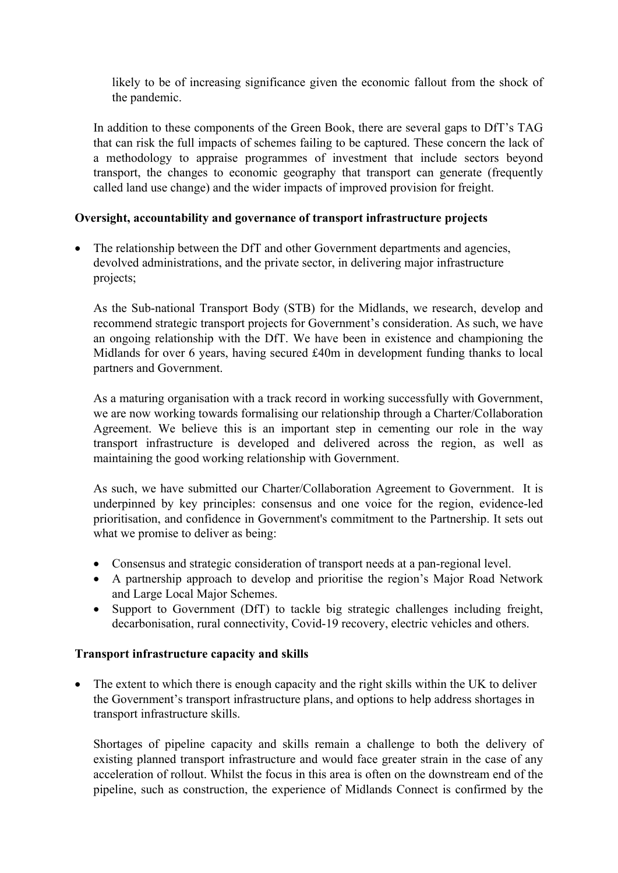likely to be of increasing significance given the economic fallout from the shock of the pandemic.

In addition to these components of the Green Book, there are several gaps to DfT's TAG that can risk the full impacts of schemes failing to be captured. These concern the lack of a methodology to appraise programmes of investment that include sectors beyond transport, the changes to economic geography that transport can generate (frequently called land use change) and the wider impacts of improved provision for freight.

# **Oversight, accountability and governance of transport infrastructure projects**

• The relationship between the DfT and other Government departments and agencies, devolved administrations, and the private sector, in delivering major infrastructure projects;

As the Sub-national Transport Body (STB) for the Midlands, we research, develop and recommend strategic transport projects for Government's consideration. As such, we have an ongoing relationship with the DfT. We have been in existence and championing the Midlands for over 6 years, having secured £40m in development funding thanks to local partners and Government.

As a maturing organisation with a track record in working successfully with Government, we are now working towards formalising our relationship through a Charter/Collaboration Agreement. We believe this is an important step in cementing our role in the way transport infrastructure is developed and delivered across the region, as well as maintaining the good working relationship with Government.

As such, we have submitted our Charter/Collaboration Agreement to Government. It is underpinned by key principles: consensus and one voice for the region, evidence-led prioritisation, and confidence in Government's commitment to the Partnership. It sets out what we promise to deliver as being:

- Consensus and strategic consideration of transport needs at a pan-regional level.
- A partnership approach to develop and prioritise the region's Major Road Network and Large Local Major Schemes.
- Support to Government (DfT) to tackle big strategic challenges including freight, decarbonisation, rural connectivity, Covid-19 recovery, electric vehicles and others.

## **Transport infrastructure capacity and skills**

• The extent to which there is enough capacity and the right skills within the UK to deliver the Government's transport infrastructure plans, and options to help address shortages in transport infrastructure skills.

Shortages of pipeline capacity and skills remain a challenge to both the delivery of existing planned transport infrastructure and would face greater strain in the case of any acceleration of rollout. Whilst the focus in this area is often on the downstream end of the pipeline, such as construction, the experience of Midlands Connect is confirmed by the